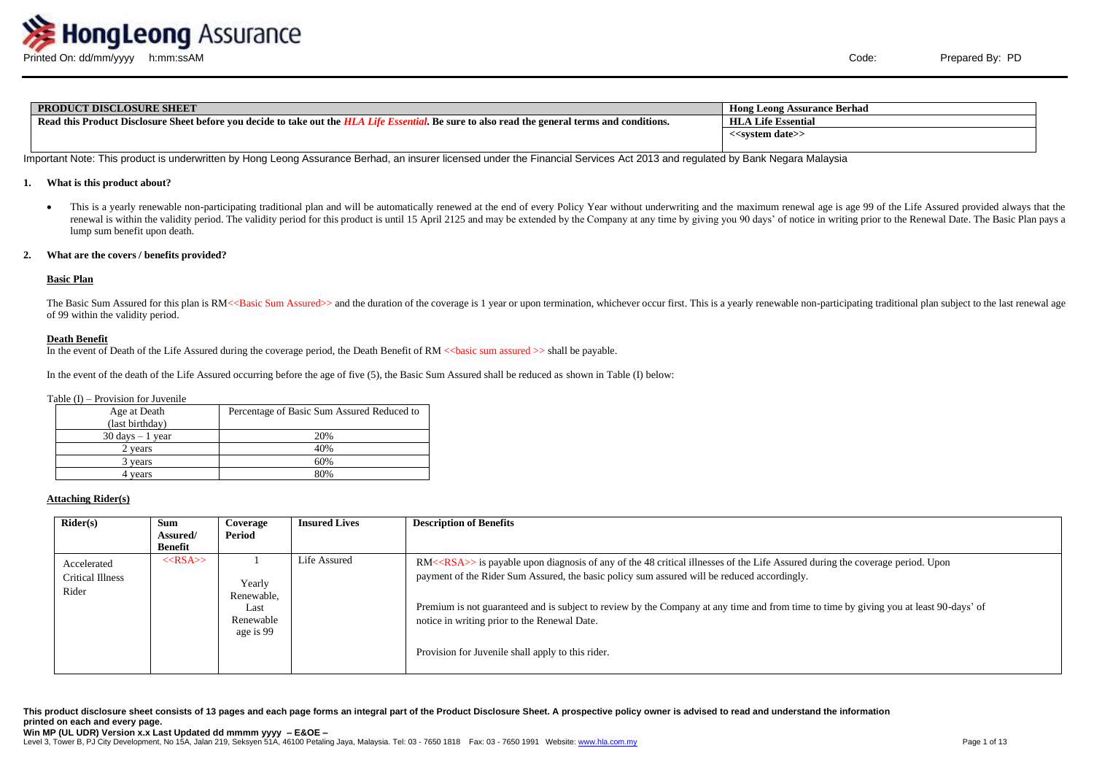

| <b>PRODUCT DISCLOSURE SHEET</b>                                                                                                                                      | <b>Hong Leong Assurance Berhad</b> |
|----------------------------------------------------------------------------------------------------------------------------------------------------------------------|------------------------------------|
| Read this Product Disclosure Sheet before you decide to take out the HLA<br>$\lambda$ . Be sure to also read the general terms and conditions.<br>l <i>I ifo F</i> e | HLA<br><b>Life Essential</b>       |
|                                                                                                                                                                      | < <system date="">&gt;</system>    |
|                                                                                                                                                                      |                                    |

Important Note: This product is underwritten by Hong Leong Assurance Berhad, an insurer licensed under the Financial Services Act 2013 and regulated by Bank Negara Malaysia

#### **1. What is this product about?**

• This is a yearly renewable non-participating traditional plan and will be automatically renewed at the end of every Policy Year without underwriting and the maximum renewal age is age 99 of the Life Assured provided alwa renewal is within the validity period. The validity period for this product is until 15 April 2125 and may be extended by the Company at any time by giving you 90 days' of notice in writing prior to the Renewal Date. The B lump sum benefit upon death.

### **2. What are the covers / benefits provided?**

# **Basic Plan**

The Basic Sum Assured for this plan is RM<<Basic Sum Assured>> and the duration of the coverage is 1 year or upon termination, whichever occur first. This is a yearly renewable non-participating traditional plan subject to of 99 within the validity period.

#### **Death Benefit**

In the event of Death of the Life Assured during the coverage period, the Death Benefit of RM <<br/>basic sum assured >> shall be payable.

In the event of the death of the Life Assured occurring before the age of five (5), the Basic Sum Assured shall be reduced as shown in Table (I) below:

#### Table (I) – Provision for Juvenile

| Age at Death<br>(last birthday)    | Percentage of Basic Sum Assured Reduced to |
|------------------------------------|--------------------------------------------|
| $30 \text{ days} - 1 \text{ year}$ | 20%                                        |
| 2 years                            | 40%                                        |
| 3 years                            | 60%                                        |
| years                              | 80%                                        |

#### **Attaching Rider(s)**

| Rider(s)                                        | <b>Sum</b><br>Assured/ | Coverage<br>Period                                     | <b>Insured Lives</b> | <b>Description of Benefits</b>                                                                                                                                                                                                                                                                                                                                                                                                                                                    |
|-------------------------------------------------|------------------------|--------------------------------------------------------|----------------------|-----------------------------------------------------------------------------------------------------------------------------------------------------------------------------------------------------------------------------------------------------------------------------------------------------------------------------------------------------------------------------------------------------------------------------------------------------------------------------------|
|                                                 | Benefit                |                                                        |                      |                                                                                                                                                                                                                                                                                                                                                                                                                                                                                   |
| Accelerated<br><b>Critical Illness</b><br>Rider | $<<$ RSA $>>$          | Yearly<br>Renewable,<br>Last<br>Renewable<br>age is 99 | Life Assured         | $RM \ll RSA \gg$ is payable upon diagnosis of any of the 48 critical illnesses of the Life Assured during the coverage period. Upon<br>payment of the Rider Sum Assured, the basic policy sum assured will be reduced accordingly.<br>Premium is not guaranteed and is subject to review by the Company at any time and from time to time by giving you at least 90-days' of<br>notice in writing prior to the Renewal Date.<br>Provision for Juvenile shall apply to this rider. |

**This product disclosure sheet consists of 13 pages and each page forms an integral part of the Product Disclosure Sheet. A prospective policy owner is advised to read and understand the information printed on each and every page.**

Level 3, Tower B, PJ City Development, No 15A, Jalan 219, Seksyen 51A, 46100 Petaling Jaya, Malaysia. Tel: 03 - 7650 1818 Fax: 03 - 7650 1991 Website[: www.hla.com.my](http://www.hla.com.my/)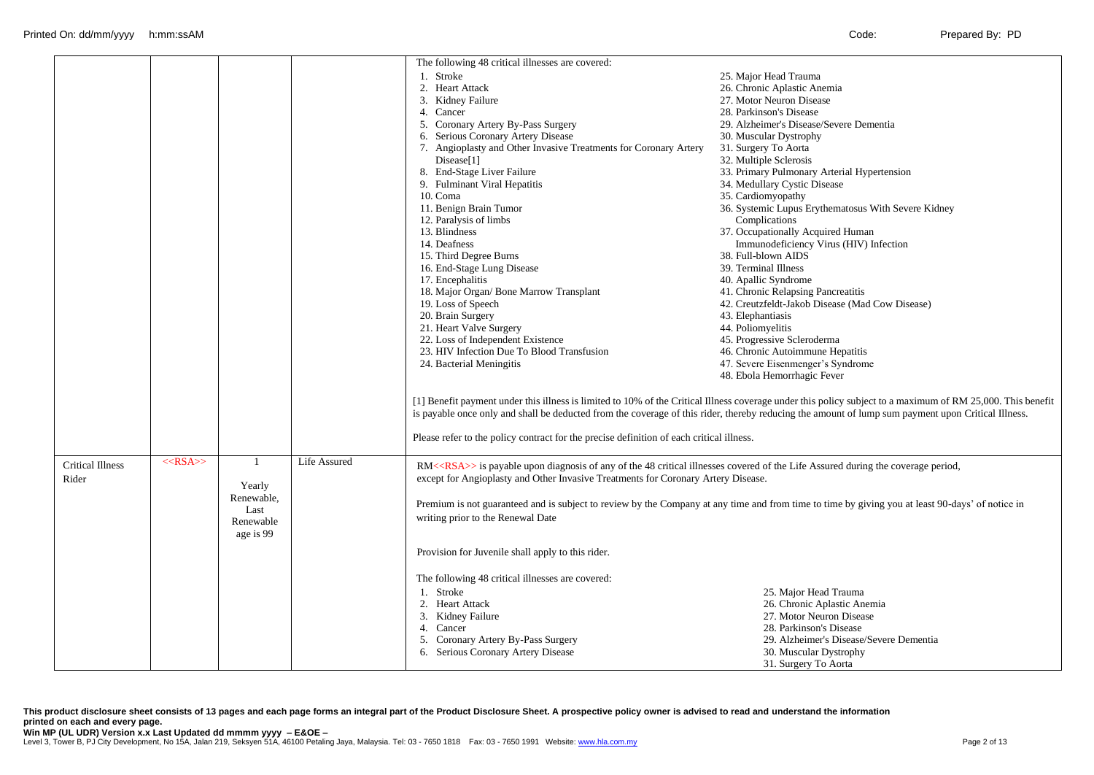|                         |            |              |                     | The following 48 critical illnesses are covered:                                                                                          |                                                                                                                                                                                                                                                                                                                   |
|-------------------------|------------|--------------|---------------------|-------------------------------------------------------------------------------------------------------------------------------------------|-------------------------------------------------------------------------------------------------------------------------------------------------------------------------------------------------------------------------------------------------------------------------------------------------------------------|
|                         |            |              |                     | 1. Stroke                                                                                                                                 | 25. Major Head Trauma                                                                                                                                                                                                                                                                                             |
|                         |            |              |                     | 2. Heart Attack                                                                                                                           | 26. Chronic Aplastic Anemia                                                                                                                                                                                                                                                                                       |
|                         |            |              |                     | 3. Kidney Failure                                                                                                                         | 27. Motor Neuron Disease                                                                                                                                                                                                                                                                                          |
|                         |            |              |                     | 4. Cancer                                                                                                                                 | 28. Parkinson's Disease                                                                                                                                                                                                                                                                                           |
|                         |            |              |                     | 5. Coronary Artery By-Pass Surgery                                                                                                        | 29. Alzheimer's Disease/Severe Dementia                                                                                                                                                                                                                                                                           |
|                         |            |              |                     | 6. Serious Coronary Artery Disease                                                                                                        | 30. Muscular Dystrophy                                                                                                                                                                                                                                                                                            |
|                         |            |              |                     | 7. Angioplasty and Other Invasive Treatments for Coronary Artery                                                                          | 31. Surgery To Aorta                                                                                                                                                                                                                                                                                              |
|                         |            |              |                     | Disease <sup>[1]</sup>                                                                                                                    | 32. Multiple Sclerosis                                                                                                                                                                                                                                                                                            |
|                         |            |              |                     | 8. End-Stage Liver Failure                                                                                                                | 33. Primary Pulmonary Arterial Hypertension                                                                                                                                                                                                                                                                       |
|                         |            |              |                     | 9. Fulminant Viral Hepatitis                                                                                                              | 34. Medullary Cystic Disease                                                                                                                                                                                                                                                                                      |
|                         |            |              |                     | 10. Coma                                                                                                                                  | 35. Cardiomyopathy                                                                                                                                                                                                                                                                                                |
|                         |            |              |                     | 11. Benign Brain Tumor                                                                                                                    | 36. Systemic Lupus Erythematosus With Severe Kidney                                                                                                                                                                                                                                                               |
|                         |            |              |                     | 12. Paralysis of limbs                                                                                                                    | Complications                                                                                                                                                                                                                                                                                                     |
|                         |            |              |                     | 13. Blindness                                                                                                                             | 37. Occupationally Acquired Human                                                                                                                                                                                                                                                                                 |
|                         |            |              |                     | 14. Deafness                                                                                                                              | Immunodeficiency Virus (HIV) Infection                                                                                                                                                                                                                                                                            |
|                         |            |              |                     | 15. Third Degree Burns                                                                                                                    | 38. Full-blown AIDS                                                                                                                                                                                                                                                                                               |
|                         |            |              |                     | 16. End-Stage Lung Disease                                                                                                                | 39. Terminal Illness                                                                                                                                                                                                                                                                                              |
|                         |            |              |                     | 17. Encephalitis                                                                                                                          | 40. Apallic Syndrome                                                                                                                                                                                                                                                                                              |
|                         |            |              |                     | 18. Major Organ/ Bone Marrow Transplant                                                                                                   | 41. Chronic Relapsing Pancreatitis                                                                                                                                                                                                                                                                                |
|                         |            |              |                     | 19. Loss of Speech                                                                                                                        | 42. Creutzfeldt-Jakob Disease (Mad Cow Disease)                                                                                                                                                                                                                                                                   |
|                         |            |              |                     | 20. Brain Surgery                                                                                                                         | 43. Elephantiasis                                                                                                                                                                                                                                                                                                 |
|                         |            |              |                     | 21. Heart Valve Surgery                                                                                                                   | 44. Poliomyelitis                                                                                                                                                                                                                                                                                                 |
|                         |            |              |                     | 22. Loss of Independent Existence                                                                                                         | 45. Progressive Scleroderma                                                                                                                                                                                                                                                                                       |
|                         |            |              |                     | 23. HIV Infection Due To Blood Transfusion                                                                                                | 46. Chronic Autoimmune Hepatitis                                                                                                                                                                                                                                                                                  |
|                         |            |              |                     | 24. Bacterial Meningitis                                                                                                                  | 47. Severe Eisenmenger's Syndrome                                                                                                                                                                                                                                                                                 |
|                         |            |              |                     |                                                                                                                                           | 48. Ebola Hemorrhagic Fever                                                                                                                                                                                                                                                                                       |
|                         |            |              |                     | Please refer to the policy contract for the precise definition of each critical illness.                                                  | [1] Benefit payment under this illness is limited to 10% of the Critical Illness coverage under this policy subject to a maximum of RM 25,000. This benefit<br>is payable once only and shall be deducted from the coverage of this rider, thereby reducing the amount of lump sum payment upon Critical Illness. |
| <b>Critical Illness</b> | $<<$ RSA>> | $\mathbf{1}$ | <b>Life Assured</b> | RM< <rsa>&gt; is payable upon diagnosis of any of the 48 critical illnesses covered of the Life Assured during the coverage period,</rsa> |                                                                                                                                                                                                                                                                                                                   |
| Rider                   |            |              |                     | except for Angioplasty and Other Invasive Treatments for Coronary Artery Disease.                                                         |                                                                                                                                                                                                                                                                                                                   |
|                         |            | Yearly       |                     |                                                                                                                                           |                                                                                                                                                                                                                                                                                                                   |
|                         |            | Renewable.   |                     |                                                                                                                                           | Premium is not guaranteed and is subject to review by the Company at any time and from time to time by giving you at least 90-days' of notice in                                                                                                                                                                  |
|                         |            | Last         |                     | writing prior to the Renewal Date                                                                                                         |                                                                                                                                                                                                                                                                                                                   |
|                         |            | Renewable    |                     |                                                                                                                                           |                                                                                                                                                                                                                                                                                                                   |
|                         |            | age is 99    |                     |                                                                                                                                           |                                                                                                                                                                                                                                                                                                                   |
|                         |            |              |                     | Provision for Juvenile shall apply to this rider.                                                                                         |                                                                                                                                                                                                                                                                                                                   |
|                         |            |              |                     | The following 48 critical illnesses are covered:                                                                                          |                                                                                                                                                                                                                                                                                                                   |
|                         |            |              |                     | 1. Stroke                                                                                                                                 | 25. Major Head Trauma                                                                                                                                                                                                                                                                                             |
|                         |            |              |                     | 2. Heart Attack                                                                                                                           | 26. Chronic Aplastic Anemia                                                                                                                                                                                                                                                                                       |
|                         |            |              |                     | 3. Kidney Failure                                                                                                                         | 27. Motor Neuron Disease                                                                                                                                                                                                                                                                                          |
|                         |            |              |                     | 4. Cancer                                                                                                                                 | 28. Parkinson's Disease                                                                                                                                                                                                                                                                                           |
|                         |            |              |                     | 5. Coronary Artery By-Pass Surgery                                                                                                        | 29. Alzheimer's Disease/Severe Dementia                                                                                                                                                                                                                                                                           |
|                         |            |              |                     | 6. Serious Coronary Artery Disease                                                                                                        | 30. Muscular Dystrophy                                                                                                                                                                                                                                                                                            |
|                         |            |              |                     |                                                                                                                                           | 31. Surgery To Aorta                                                                                                                                                                                                                                                                                              |

**This product disclosure sheet consists of 13 pages and each page forms an integral part of the Product Disclosure Sheet. A prospective policy owner is advised to read and understand the information printed on each and every page.**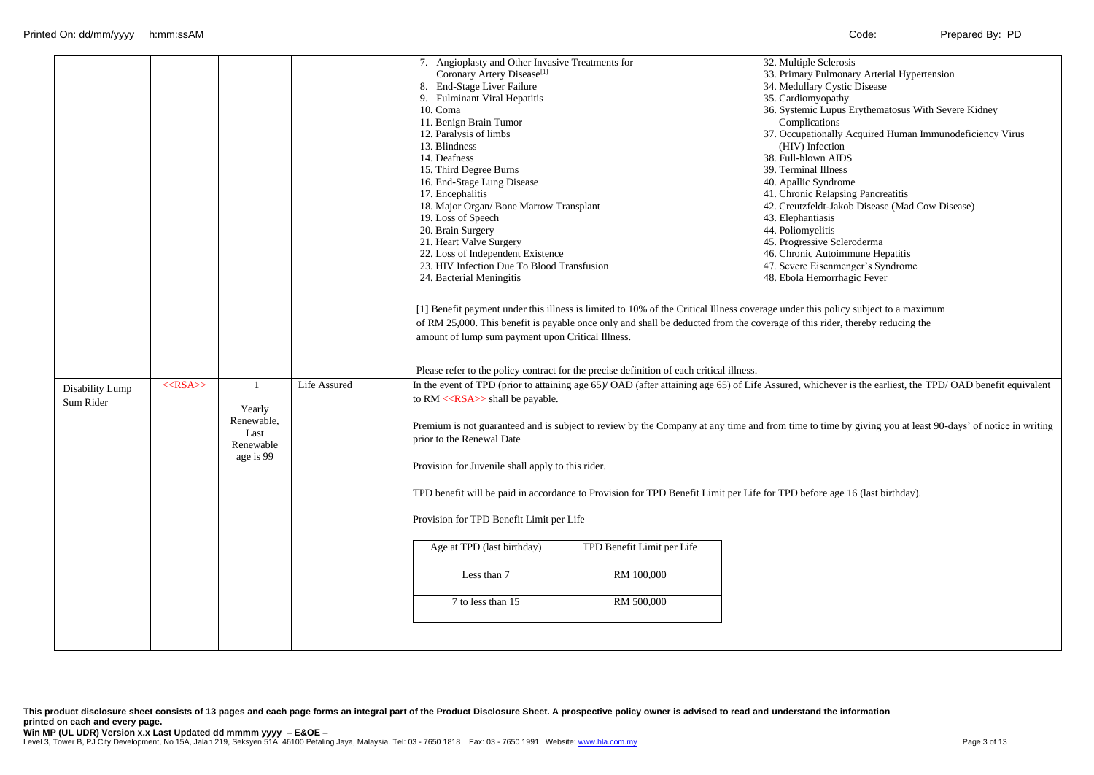| Disability Lump<br>Sum Rider | $<<$ RSA>> | $\overline{1}$<br>Yearly<br>Renewable,<br>Last<br>Renewable<br>age is 99 | Life Assured | 7. Angioplasty and Other Invasive Treatments for<br>Coronary Artery Disease <sup>[1]</sup><br>8. End-Stage Liver Failure<br>9. Fulminant Viral Hepatitis<br>10. Coma<br>11. Benign Brain Tumor<br>12. Paralysis of limbs<br>13. Blindness<br>14. Deafness<br>15. Third Degree Burns<br>16. End-Stage Lung Disease<br>17. Encephalitis<br>18. Major Organ/ Bone Marrow Transplant<br>19. Loss of Speech<br>20. Brain Surgery<br>21. Heart Valve Surgery<br>22. Loss of Independent Existence<br>23. HIV Infection Due To Blood Transfusion<br>24. Bacterial Meningitis<br>amount of lump sum payment upon Critical Illness.<br>to $RM \ll$ RSA $>$ shall be payable.<br>prior to the Renewal Date<br>Provision for Juvenile shall apply to this rider.<br>Provision for TPD Benefit Limit per Life | Please refer to the policy contract for the precise definition of each critical illness. | 32. Multiple Sclerosis<br>33. Primary Pulmonary Arterial Hypertension<br>34. Medullary Cystic Disease<br>35. Cardiomyopathy<br>36. Systemic Lupus Erythematosus With Severe Kidney<br>Complications<br>37. Occupationally Acquired Human Immunodeficiency Virus<br>(HIV) Infection<br>38. Full-blown AIDS<br>39. Terminal Illness<br>40. Apallic Syndrome<br>41. Chronic Relapsing Pancreatitis<br>42. Creutzfeldt-Jakob Disease (Mad Cow Disease)<br>43. Elephantiasis<br>44. Poliomyelitis<br>45. Progressive Scleroderma<br>46. Chronic Autoimmune Hepatitis<br>47. Severe Eisenmenger's Syndrome<br>48. Ebola Hemorrhagic Fever<br>[1] Benefit payment under this illness is limited to 10% of the Critical Illness coverage under this policy subject to a maximum<br>of RM 25,000. This benefit is payable once only and shall be deducted from the coverage of this rider, thereby reducing the<br>In the event of TPD (prior to attaining age 65)/OAD (after attaining age 65) of Life Assured, whichever is the earliest, the TPD/OAD benefit equivalent<br>Premium is not guaranteed and is subject to review by the Company at any time and from time to time by giving you at least 90-days' of notice in writing<br>TPD benefit will be paid in accordance to Provision for TPD Benefit Limit per Life for TPD before age 16 (last birthday). |
|------------------------------|------------|--------------------------------------------------------------------------|--------------|---------------------------------------------------------------------------------------------------------------------------------------------------------------------------------------------------------------------------------------------------------------------------------------------------------------------------------------------------------------------------------------------------------------------------------------------------------------------------------------------------------------------------------------------------------------------------------------------------------------------------------------------------------------------------------------------------------------------------------------------------------------------------------------------------|------------------------------------------------------------------------------------------|------------------------------------------------------------------------------------------------------------------------------------------------------------------------------------------------------------------------------------------------------------------------------------------------------------------------------------------------------------------------------------------------------------------------------------------------------------------------------------------------------------------------------------------------------------------------------------------------------------------------------------------------------------------------------------------------------------------------------------------------------------------------------------------------------------------------------------------------------------------------------------------------------------------------------------------------------------------------------------------------------------------------------------------------------------------------------------------------------------------------------------------------------------------------------------------------------------------------------------------------------------------------------------------------------------------------------------------------------------|
|                              |            |                                                                          |              | Age at TPD (last birthday)<br>Less than 7<br>7 to less than 15                                                                                                                                                                                                                                                                                                                                                                                                                                                                                                                                                                                                                                                                                                                                    | TPD Benefit Limit per Life<br>RM 100,000<br>RM 500,000                                   |                                                                                                                                                                                                                                                                                                                                                                                                                                                                                                                                                                                                                                                                                                                                                                                                                                                                                                                                                                                                                                                                                                                                                                                                                                                                                                                                                            |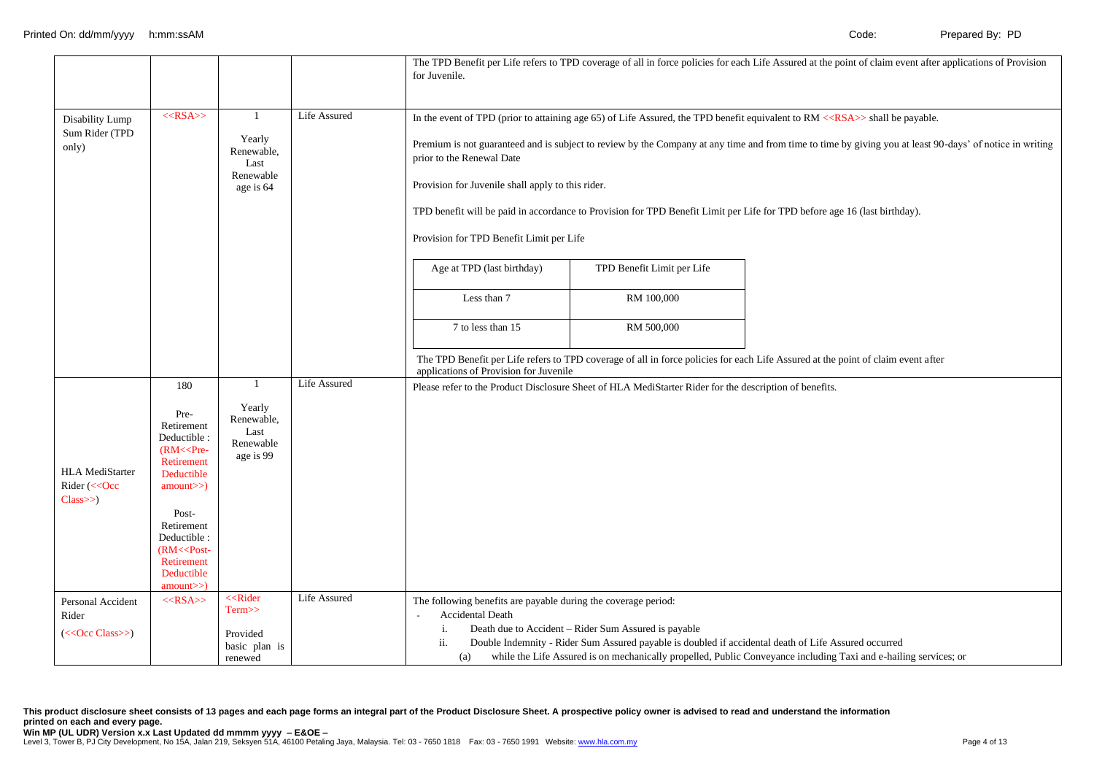|                                                    |                                                                                                                                                                                               |                                                                                |              | for Juvenile.                                                                                                                                                                                                                                                                                                                                                                                                                                                                                                                                   |                                                                                                                                                              | The TPD Benefit per Life refers to TPD coverage of all in force policies for each Life Assured at the point of claim event after applications of Provision |
|----------------------------------------------------|-----------------------------------------------------------------------------------------------------------------------------------------------------------------------------------------------|--------------------------------------------------------------------------------|--------------|-------------------------------------------------------------------------------------------------------------------------------------------------------------------------------------------------------------------------------------------------------------------------------------------------------------------------------------------------------------------------------------------------------------------------------------------------------------------------------------------------------------------------------------------------|--------------------------------------------------------------------------------------------------------------------------------------------------------------|------------------------------------------------------------------------------------------------------------------------------------------------------------|
| Disability Lump                                    | $<<$ RSA>>                                                                                                                                                                                    | $\overline{1}$                                                                 | Life Assured |                                                                                                                                                                                                                                                                                                                                                                                                                                                                                                                                                 |                                                                                                                                                              | In the event of TPD (prior to attaining age 65) of Life Assured, the TPD benefit equivalent to RM < <rsa>&gt; shall be payable.</rsa>                      |
| Sum Rider (TPD<br>only)                            |                                                                                                                                                                                               | Yearly<br>Renewable,<br>Last<br>Renewable<br>age is 64                         |              | Premium is not guaranteed and is subject to review by the Company at any time and from time to time by giving you at least 90-days' of notice in writing<br>prior to the Renewal Date<br>Provision for Juvenile shall apply to this rider.<br>TPD benefit will be paid in accordance to Provision for TPD Benefit Limit per Life for TPD before age 16 (last birthday).<br>Provision for TPD Benefit Limit per Life<br>Age at TPD (last birthday)<br>TPD Benefit Limit per Life<br>Less than 7<br>RM 100,000<br>7 to less than 15<br>RM 500,000 |                                                                                                                                                              |                                                                                                                                                            |
|                                                    |                                                                                                                                                                                               |                                                                                |              | applications of Provision for Juvenile                                                                                                                                                                                                                                                                                                                                                                                                                                                                                                          |                                                                                                                                                              | The TPD Benefit per Life refers to TPD coverage of all in force policies for each Life Assured at the point of claim event after                           |
| <b>HLA MediStarter</b><br>Rider (<< Occ<br>Class>> | 180<br>Pre-<br>Retirement<br>Deductible :<br>$(RM<<$ Pre-<br>Retirement<br>Deductible<br>amount>><br>Post-<br>Retirement<br>Deductible:<br>(RM < Post<br>Retirement<br>Deductible<br>amount>> | $\mathbf{1}$<br>Yearly<br>Renewable,<br>Last<br>Renewable<br>age is 99         | Life Assured |                                                                                                                                                                                                                                                                                                                                                                                                                                                                                                                                                 | Please refer to the Product Disclosure Sheet of HLA MediStarter Rider for the description of benefits.                                                       |                                                                                                                                                            |
| Personal Accident<br>Rider<br>$(<$ Ccc Class>>)    | $<<$ RSA $>>$                                                                                                                                                                                 | < <rider<br>Term&gt;&gt;<br/>Provided<br/>basic plan is<br/>renewed</rider<br> | Life Assured | The following benefits are payable during the coverage period:<br>Accidental Death<br>i.<br>ii.<br>(a)                                                                                                                                                                                                                                                                                                                                                                                                                                          | Death due to Accident - Rider Sum Assured is payable<br>Double Indemnity - Rider Sum Assured payable is doubled if accidental death of Life Assured occurred | while the Life Assured is on mechanically propelled, Public Conveyance including Taxi and e-hailing services; or                                           |

**This product disclosure sheet consists of 13 pages and each page forms an integral part of the Product Disclosure Sheet. A prospective policy owner is advised to read and understand the information printed on each and every page.**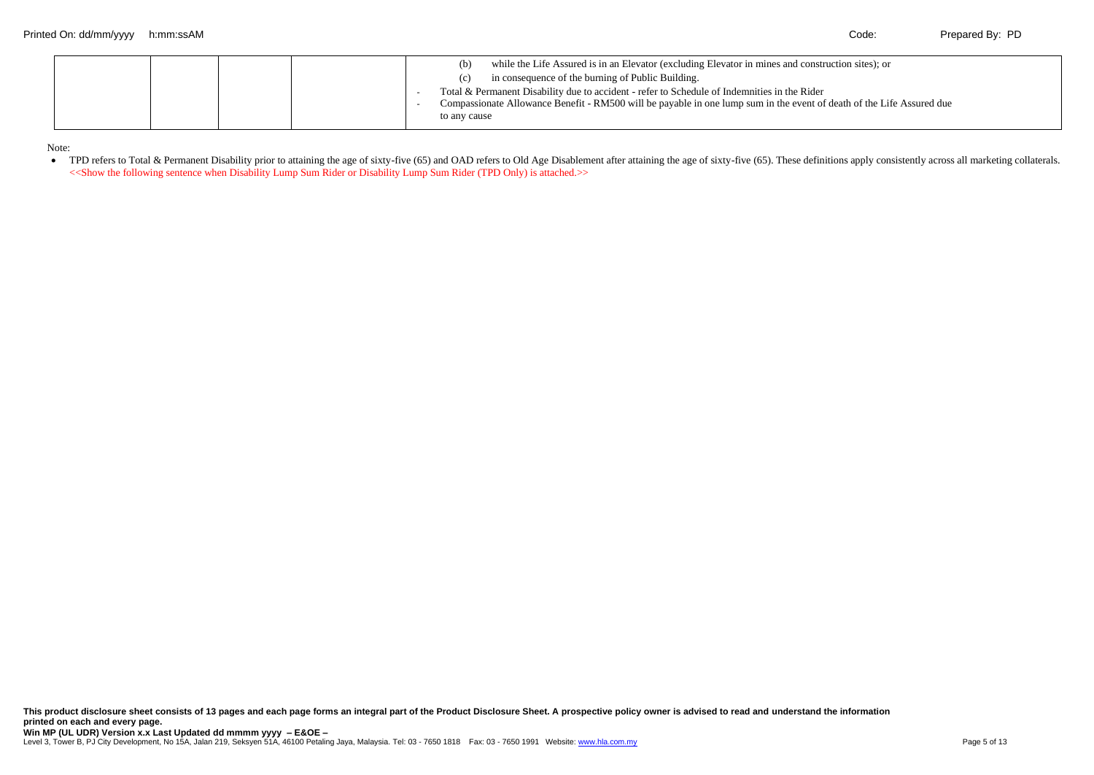Note:

• TPD refers to Total & Permanent Disability prior to attaining the age of sixty-five (65) and OAD refers to Old Age Disablement after attaining the age of sixty-five (65). These definitions apply consistently across all m <<Show the following sentence when Disability Lump Sum Rider or Disability Lump Sum Rider (TPD Only) is attached.>>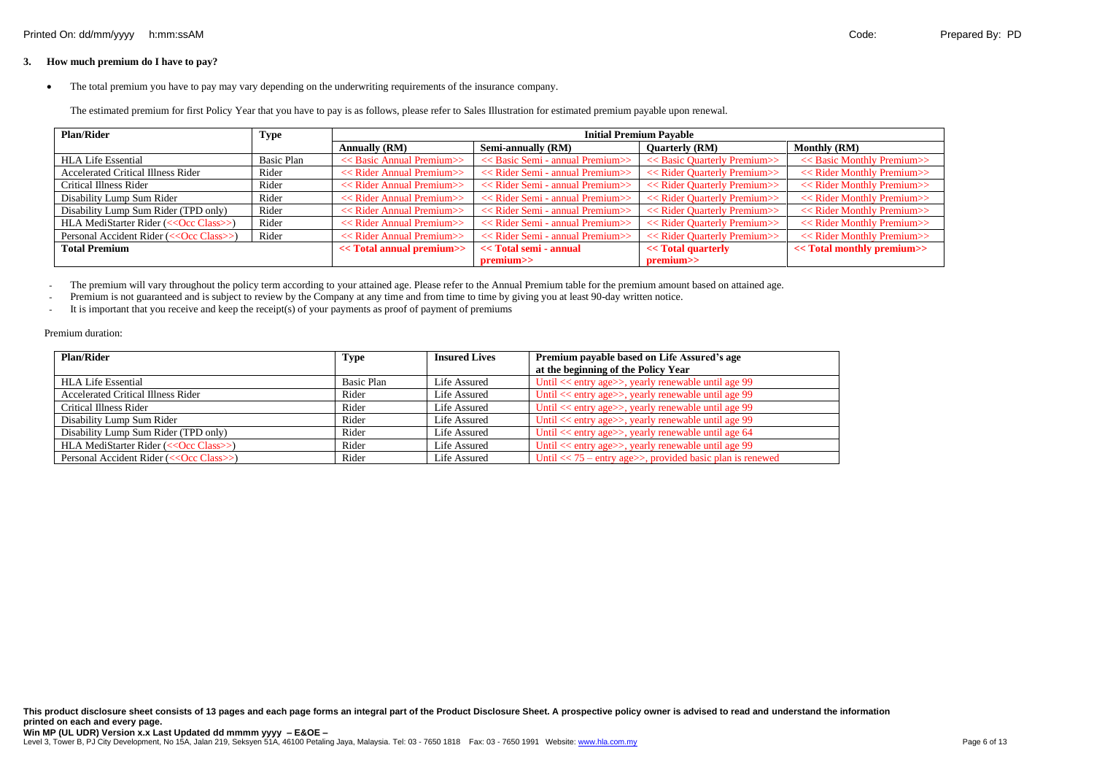# **3. How much premium do I have to pay?**

• The total premium you have to pay may vary depending on the underwriting requirements of the insurance company.

The estimated premium for first Policy Year that you have to pay is as follows, please refer to Sales Illustration for estimated premium payable upon renewal.

| <b>Plan/Rider</b>                        | <b>Type</b> | <b>Initial Premium Pavable</b>             |                                                         |                                               |                                             |  |
|------------------------------------------|-------------|--------------------------------------------|---------------------------------------------------------|-----------------------------------------------|---------------------------------------------|--|
|                                          |             | <b>Annually (RM)</b>                       | Semi-annually (RM)                                      | <b>Quarterly (RM)</b>                         | <b>Monthly (RM)</b>                         |  |
| <b>HLA Life Essential</b>                | Basic Plan  | < <basic annual="" premium="">&gt;</basic> | $<<$ Basic Semi - annual Premium $>>$                   | < <basic premium="" quarterly="">&gt;</basic> | < <basic monthly="" premium="">&gt;</basic> |  |
| Accelerated Critical Illness Rider       | Rider       | << Rider Annual Premium>>                  | << Rider Semi - annual Premium>>                        | < <rider premium="" quarterly="">&gt;</rider> |                                             |  |
| Critical Illness Rider                   | Rider       | << Rider Annual Premium>>                  | < <rider -="" annual="" premium="" semi="">&gt;</rider> | < <rider premium="" quarterly="">&gt;</rider> | < <rider monthly="" premium="">&gt;</rider> |  |
| Disability Lump Sum Rider                | Rider       | << Rider Annual Premium>>                  | < <rider -="" annual="" premium="" semi="">&gt;</rider> | < <rider premium="" quarterly="">&gt;</rider> | << Rider Monthly Premium>>                  |  |
| Disability Lump Sum Rider (TPD only)     | Rider       | << Rider Annual Premium>>                  | < <rider -="" annual="" premium="" semi="">&gt;</rider> | < <rider premium="" quarterly="">&gt;</rider> | << Rider Monthly Premium>>                  |  |
| HLA MediStarter Rider (<< Occ Class>>)   | Rider       | << Rider Annual Premium>>                  | < <rider -="" annual="" premium="" semi="">&gt;</rider> | < <rider premium="" quarterly="">&gt;</rider> | << Rider Monthly Premium>>                  |  |
| Personal Accident Rider (<< Occ Class>>) | Rider       | << Rider Annual Premium>>                  | < <rider -="" annual="" premium="" semi="">&gt;</rider> | < <rider premium="" quarterly="">&gt;</rider> | << Rider Monthly Premium>>                  |  |
| <b>Total Premium</b>                     |             | << Total annual premium>>                  | << Total semi - annual                                  | << Total quarterly                            | << Total monthly premium>>                  |  |
|                                          |             |                                            | premium>>                                               | premium>>                                     |                                             |  |

- The premium will vary throughout the policy term according to your attained age. Please refer to the Annual Premium table for the premium amount based on attained age.

- Premium is not guaranteed and is subject to review by the Company at any time and from time to time by giving you at least 90-day written notice.

- It is important that you receive and keep the receipt(s) of your payments as proof of payment of premiums

#### Premium duration:

| Plan/Rider                                | Type       | <b>Insured Lives</b> | Premium payable based on Life Assured's age                     |
|-------------------------------------------|------------|----------------------|-----------------------------------------------------------------|
|                                           |            |                      | at the beginning of the Policy Year                             |
| <b>HLA Life Essential</b>                 | Basic Plan | Life Assured         | Until << entry age>>, yearly renewable until age 99             |
| <b>Accelerated Critical Illness Rider</b> | Rider      | Life Assured         | Until << entry age>>, yearly renewable until age 99             |
| Critical Illness Rider                    | Rider      | Life Assured         | Until << entry age>>, yearly renewable until age 99             |
| Disability Lump Sum Rider                 | Rider      | Life Assured         | Until << entry age>>, yearly renewable until age 99             |
| Disability Lump Sum Rider (TPD only)      | Rider      | Life Assured         | Until $<<$ entry age $>>$ , yearly renewable until age 64       |
| HLA MediStarter Rider (<< Occ Class>>)    | Rider      | Life Assured         | Until << entry age>>, yearly renewable until age 99             |
| Personal Accident Rider (<< Occ Class>>)  | Rider      | Life Assured         | Until $<< 75$ – entry age $>>$ , provided basic plan is renewed |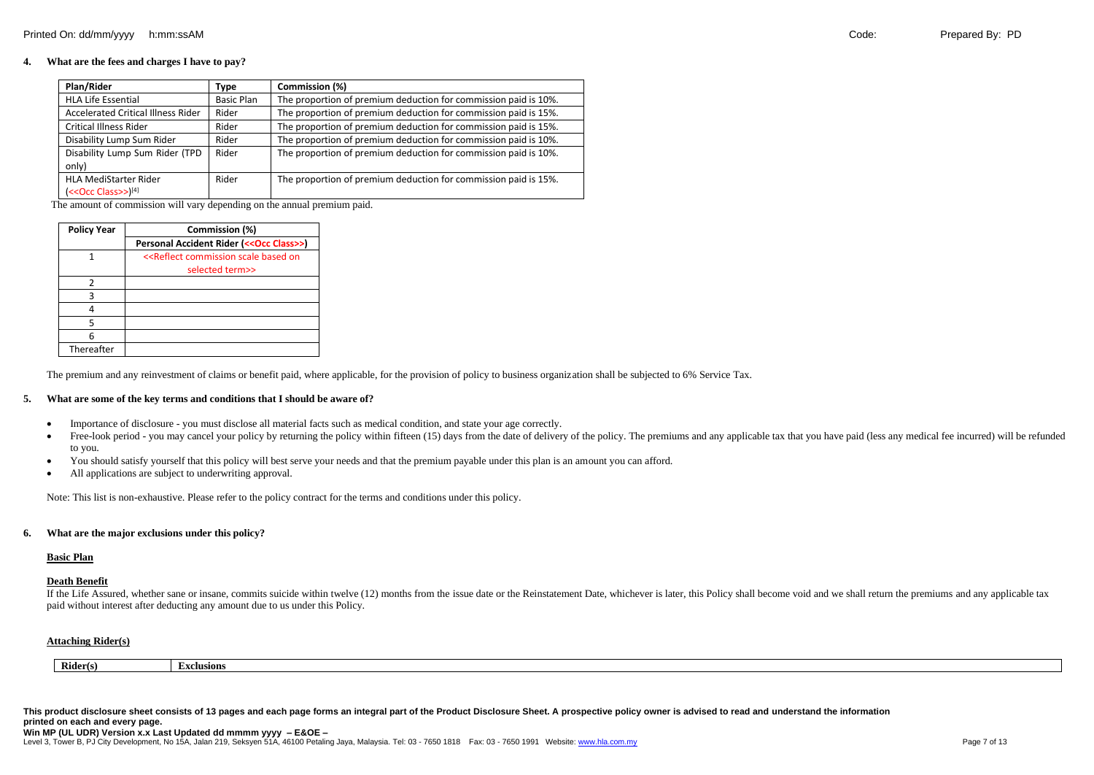# **4. What are the fees and charges I have to pay?**

| Plan/Rider                                | Type              | Commission (%)                                                  |
|-------------------------------------------|-------------------|-----------------------------------------------------------------|
| <b>HLA Life Essential</b>                 | <b>Basic Plan</b> | The proportion of premium deduction for commission paid is 10%. |
| <b>Accelerated Critical Illness Rider</b> | Rider             | The proportion of premium deduction for commission paid is 15%. |
| <b>Critical Illness Rider</b>             | Rider             | The proportion of premium deduction for commission paid is 15%. |
| Disability Lump Sum Rider                 | Rider             | The proportion of premium deduction for commission paid is 10%. |
| Disability Lump Sum Rider (TPD            | Rider             | The proportion of premium deduction for commission paid is 10%. |
| only)                                     |                   |                                                                 |
| <b>HLA MediStarter Rider</b>              | Rider             | The proportion of premium deduction for commission paid is 15%. |
| $(<$ Occ Class>> $)^[4]$                  |                   |                                                                 |

The amount of commission will vary depending on the annual premium paid.

| <b>Policy Year</b> | Commission (%)                                                     |  |  |
|--------------------|--------------------------------------------------------------------|--|--|
|                    | Personal Accident Rider (<< Occ Class>>)                           |  |  |
|                    | < <reflect based="" commission="" on<="" scale="" td=""></reflect> |  |  |
|                    | selected term>>                                                    |  |  |
| $\mathcal{P}$      |                                                                    |  |  |
| ٦                  |                                                                    |  |  |
|                    |                                                                    |  |  |
|                    |                                                                    |  |  |
| հ                  |                                                                    |  |  |
| Thereafter         |                                                                    |  |  |

The premium and any reinvestment of claims or benefit paid, where applicable, for the provision of policy to business organization shall be subjected to 6% Service Tax.

#### **5. What are some of the key terms and conditions that I should be aware of?**

- Importance of disclosure you must disclose all material facts such as medical condition, and state your age correctly.
- Free-look period you may cancel your policy by returning the policy within fifteen (15) days from the date of delivery of the policy. The premiums and any applicable tax that you have paid (less any medical fee incurre to you.
- You should satisfy yourself that this policy will best serve your needs and that the premium payable under this plan is an amount you can afford.
- All applications are subject to underwriting approval.

Note: This list is non-exhaustive. Please refer to the policy contract for the terms and conditions under this policy.

#### **6. What are the major exclusions under this policy?**

#### **Basic Plan**

#### **Death Benefit**

If the Life Assured, whether sane or insane, commits suicide within twelve (12) months from the issue date or the Reinstatement Date, whichever is later, this Policy shall become void and we shall return the premiums and a paid without interest after deducting any amount due to us under this Policy.

#### **Attaching Rider(s)**

|          | -                 |
|----------|-------------------|
| Rider(s) |                   |
|          | <b>£xclusions</b> |
|          |                   |

**This product disclosure sheet consists of 13 pages and each page forms an integral part of the Product Disclosure Sheet. A prospective policy owner is advised to read and understand the information printed on each and every page.**

#### **Win MP (UL UDR) Version x.x Last Updated dd mmmm yyyy – E&OE –**

Level 3, Tower B, PJ City Development, No 15A, Jalan 219, Seksyen 51A, 46100 Petaling Jaya, Malaysia. Tel: 03 - 7650 1818 Fax: 03 - 7650 1991 Website[: www.hla.com.my](http://www.hla.com.my/)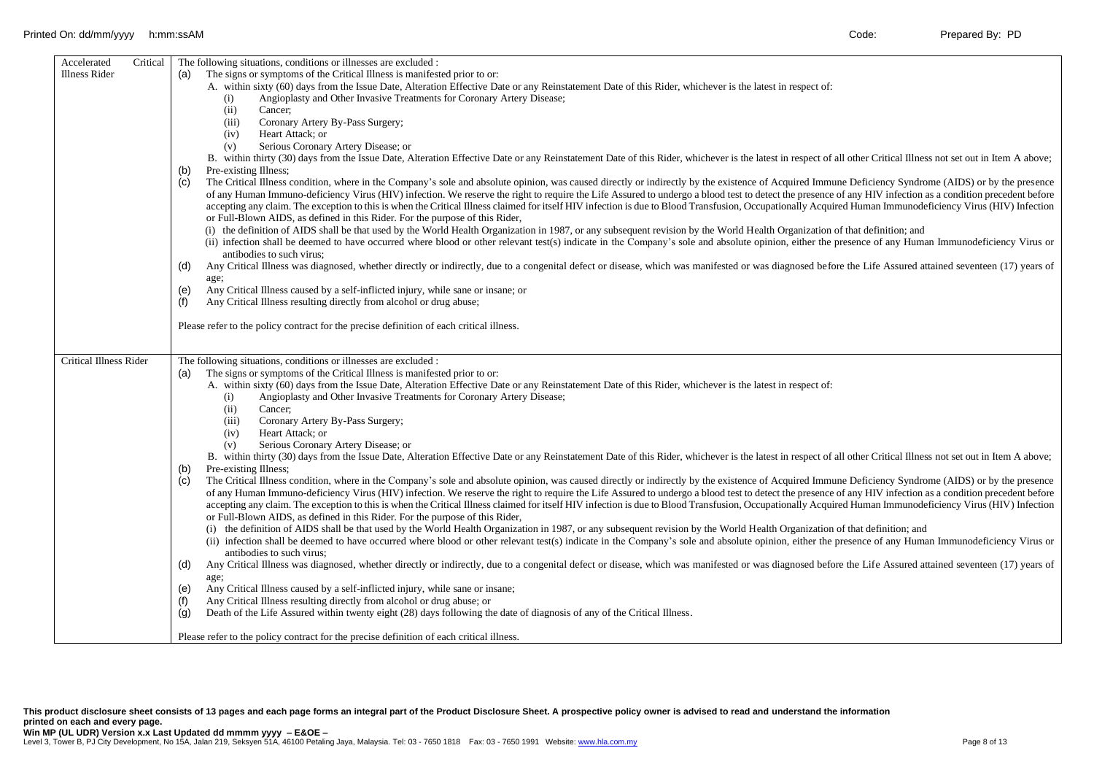| Accelerated<br>Critical<br>The following situations, conditions or illnesses are excluded : |                                                                                                                                                                                                                  |  |  |  |  |  |  |  |
|---------------------------------------------------------------------------------------------|------------------------------------------------------------------------------------------------------------------------------------------------------------------------------------------------------------------|--|--|--|--|--|--|--|
| Illness Rider                                                                               | The signs or symptoms of the Critical Illness is manifested prior to or:<br>(a)                                                                                                                                  |  |  |  |  |  |  |  |
|                                                                                             | A. within sixty (60) days from the Issue Date, Alteration Effective Date or any Reinstatement Date of this Rider, whichever is the latest in respect of:                                                         |  |  |  |  |  |  |  |
|                                                                                             | Angioplasty and Other Invasive Treatments for Coronary Artery Disease;<br>(i)                                                                                                                                    |  |  |  |  |  |  |  |
|                                                                                             | (ii)<br>Cancer:                                                                                                                                                                                                  |  |  |  |  |  |  |  |
|                                                                                             | (iii)<br>Coronary Artery By-Pass Surgery;                                                                                                                                                                        |  |  |  |  |  |  |  |
|                                                                                             | Heart Attack; or<br>(iv)                                                                                                                                                                                         |  |  |  |  |  |  |  |
|                                                                                             | Serious Coronary Artery Disease; or<br>(v)                                                                                                                                                                       |  |  |  |  |  |  |  |
|                                                                                             | B. within thirty (30) days from the Issue Date, Alteration Effective Date or any Reinstatement Date of this Rider, whichever is the latest in respect of all other Critical Illness not set out in Item A above; |  |  |  |  |  |  |  |
|                                                                                             | Pre-existing Illness;<br>(b)                                                                                                                                                                                     |  |  |  |  |  |  |  |
|                                                                                             | (c)<br>The Critical Illness condition, where in the Company's sole and absolute opinion, was caused directly or indirectly by the existence of Acquired Immune Deficiency Syndrome (AIDS) or by the presence     |  |  |  |  |  |  |  |
|                                                                                             | of any Human Immuno-deficiency Virus (HIV) infection. We reserve the right to require the Life Assured to undergo a blood test to detect the presence of any HIV infection as a condition precedent before       |  |  |  |  |  |  |  |
|                                                                                             | accepting any claim. The exception to this is when the Critical Illness claimed for itself HIV infection is due to Blood Transfusion, Occupationally Acquired Human Immunodeficiency Virus (HIV) Infection       |  |  |  |  |  |  |  |
|                                                                                             | or Full-Blown AIDS, as defined in this Rider. For the purpose of this Rider,                                                                                                                                     |  |  |  |  |  |  |  |
|                                                                                             | (i) the definition of AIDS shall be that used by the World Health Organization in 1987, or any subsequent revision by the World Health Organization of that definition; and                                      |  |  |  |  |  |  |  |
|                                                                                             | (ii) infection shall be deemed to have occurred where blood or other relevant test(s) indicate in the Company's sole and absolute opinion, either the presence of any Human Immunodeficiency Virus or            |  |  |  |  |  |  |  |
|                                                                                             | antibodies to such virus;                                                                                                                                                                                        |  |  |  |  |  |  |  |
|                                                                                             | Any Critical Illness was diagnosed, whether directly or indirectly, due to a congenital defect or disease, which was manifested or was diagnosed before the Life Assured attained seventeen (17) years of<br>(d) |  |  |  |  |  |  |  |
|                                                                                             | age;                                                                                                                                                                                                             |  |  |  |  |  |  |  |
|                                                                                             | Any Critical Illness caused by a self-inflicted injury, while sane or insane; or<br>(e)                                                                                                                          |  |  |  |  |  |  |  |
|                                                                                             | Any Critical Illness resulting directly from alcohol or drug abuse;<br>(f)                                                                                                                                       |  |  |  |  |  |  |  |
|                                                                                             |                                                                                                                                                                                                                  |  |  |  |  |  |  |  |
|                                                                                             | Please refer to the policy contract for the precise definition of each critical illness.                                                                                                                         |  |  |  |  |  |  |  |
|                                                                                             |                                                                                                                                                                                                                  |  |  |  |  |  |  |  |
|                                                                                             |                                                                                                                                                                                                                  |  |  |  |  |  |  |  |
| <b>Critical Illness Rider</b>                                                               | The following situations, conditions or illnesses are excluded :                                                                                                                                                 |  |  |  |  |  |  |  |
|                                                                                             | The signs or symptoms of the Critical Illness is manifested prior to or:<br>(a)                                                                                                                                  |  |  |  |  |  |  |  |
|                                                                                             |                                                                                                                                                                                                                  |  |  |  |  |  |  |  |
|                                                                                             | A. within sixty (60) days from the Issue Date, Alteration Effective Date or any Reinstatement Date of this Rider, whichever is the latest in respect of:                                                         |  |  |  |  |  |  |  |
|                                                                                             | Angioplasty and Other Invasive Treatments for Coronary Artery Disease;<br>(i)                                                                                                                                    |  |  |  |  |  |  |  |
|                                                                                             | (ii)<br>Cancer:                                                                                                                                                                                                  |  |  |  |  |  |  |  |
|                                                                                             | Coronary Artery By-Pass Surgery;<br>(iii)                                                                                                                                                                        |  |  |  |  |  |  |  |
|                                                                                             | Heart Attack; or<br>(iv)                                                                                                                                                                                         |  |  |  |  |  |  |  |
|                                                                                             | Serious Coronary Artery Disease; or<br>(v)                                                                                                                                                                       |  |  |  |  |  |  |  |
|                                                                                             | B. within thirty (30) days from the Issue Date, Alteration Effective Date or any Reinstatement Date of this Rider, whichever is the latest in respect of all other Critical Illness not set out in Item A above; |  |  |  |  |  |  |  |
|                                                                                             | Pre-existing Illness;<br>(b)                                                                                                                                                                                     |  |  |  |  |  |  |  |
|                                                                                             | (c)<br>The Critical Illness condition, where in the Company's sole and absolute opinion, was caused directly or indirectly by the existence of Acquired Immune Deficiency Syndrome (AIDS) or by the presence     |  |  |  |  |  |  |  |
|                                                                                             | of any Human Immuno-deficiency Virus (HIV) infection. We reserve the right to require the Life Assured to undergo a blood test to detect the presence of any HIV infection as a condition precedent before       |  |  |  |  |  |  |  |
|                                                                                             | accepting any claim. The exception to this is when the Critical Illness claimed for itself HIV infection is due to Blood Transfusion, Occupationally Acquired Human Immunodeficiency Virus (HIV) Infection       |  |  |  |  |  |  |  |
|                                                                                             | or Full-Blown AIDS, as defined in this Rider. For the purpose of this Rider,                                                                                                                                     |  |  |  |  |  |  |  |
|                                                                                             | (i) the definition of AIDS shall be that used by the World Health Organization in 1987, or any subsequent revision by the World Health Organization of that definition; and                                      |  |  |  |  |  |  |  |
|                                                                                             | (ii) infection shall be deemed to have occurred where blood or other relevant test(s) indicate in the Company's sole and absolute opinion, either the presence of any Human Immunodeficiency Virus or            |  |  |  |  |  |  |  |
|                                                                                             | antibodies to such virus;                                                                                                                                                                                        |  |  |  |  |  |  |  |
|                                                                                             | Any Critical Illness was diagnosed, whether directly or indirectly, due to a congenital defect or disease, which was manifested or was diagnosed before the Life Assured attained seventeen (17) years of<br>(d) |  |  |  |  |  |  |  |
|                                                                                             | age;                                                                                                                                                                                                             |  |  |  |  |  |  |  |
|                                                                                             | Any Critical Illness caused by a self-inflicted injury, while sane or insane;<br>(e)                                                                                                                             |  |  |  |  |  |  |  |
|                                                                                             | Any Critical Illness resulting directly from alcohol or drug abuse; or<br>(f)                                                                                                                                    |  |  |  |  |  |  |  |
|                                                                                             | Death of the Life Assured within twenty eight (28) days following the date of diagnosis of any of the Critical Illness.<br>(g)                                                                                   |  |  |  |  |  |  |  |
|                                                                                             | Please refer to the policy contract for the precise definition of each critical illness.                                                                                                                         |  |  |  |  |  |  |  |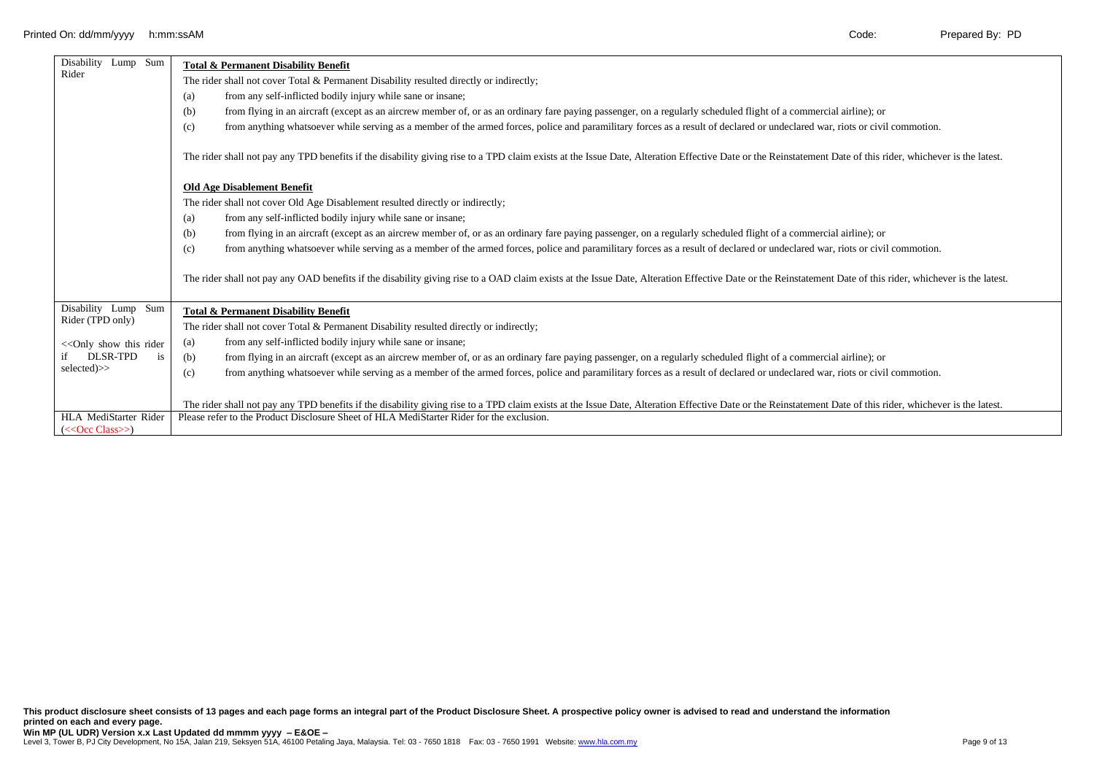| Disability Lump Sum                        | <b>Total &amp; Permanent Disability Benefit</b>                                                                                                                                                             |  |  |  |  |  |  |  |
|--------------------------------------------|-------------------------------------------------------------------------------------------------------------------------------------------------------------------------------------------------------------|--|--|--|--|--|--|--|
| Rider                                      | The rider shall not cover Total & Permanent Disability resulted directly or indirectly;                                                                                                                     |  |  |  |  |  |  |  |
|                                            | from any self-inflicted bodily injury while sane or insane;<br>(a)                                                                                                                                          |  |  |  |  |  |  |  |
|                                            | from flying in an aircraft (except as an aircrew member of, or as an ordinary fare paying passenger, on a regularly scheduled flight of a commercial airline); or<br>(b)                                    |  |  |  |  |  |  |  |
|                                            | from anything whatsoever while serving as a member of the armed forces, police and paramilitary forces as a result of declared or undeclared war, riots or civil commotion.<br>(c)                          |  |  |  |  |  |  |  |
|                                            | The rider shall not pay any TPD benefits if the disability giving rise to a TPD claim exists at the Issue Date, Alteration Effective Date or the Reinstatement Date of this rider, whichever is the latest. |  |  |  |  |  |  |  |
|                                            | <b>Old Age Disablement Benefit</b>                                                                                                                                                                          |  |  |  |  |  |  |  |
|                                            | The rider shall not cover Old Age Disablement resulted directly or indirectly;                                                                                                                              |  |  |  |  |  |  |  |
|                                            | from any self-inflicted bodily injury while sane or insane;<br>(a)                                                                                                                                          |  |  |  |  |  |  |  |
|                                            | (b)<br>from flying in an aircraft (except as an aircrew member of, or as an ordinary fare paying passenger, on a regularly scheduled flight of a commercial airline); or                                    |  |  |  |  |  |  |  |
|                                            | from anything whatsoever while serving as a member of the armed forces, police and paramilitary forces as a result of declared or undeclared war, riots or civil commotion.<br>(c)                          |  |  |  |  |  |  |  |
|                                            | The rider shall not pay any OAD benefits if the disability giving rise to a OAD claim exists at the Issue Date, Alteration Effective Date or the Reinstatement Date of this rider, whichever is the latest. |  |  |  |  |  |  |  |
| Disability Lump Sum                        | <b>Total &amp; Permanent Disability Benefit</b>                                                                                                                                                             |  |  |  |  |  |  |  |
| Rider (TPD only)                           | The rider shall not cover Total & Permanent Disability resulted directly or indirectly;                                                                                                                     |  |  |  |  |  |  |  |
| << Only show this rider                    | from any self-inflicted bodily injury while sane or insane;<br>(a)                                                                                                                                          |  |  |  |  |  |  |  |
| DLSR-TPD<br>is                             | (b)<br>from flying in an aircraft (except as an aircrew member of, or as an ordinary fare paying passenger, on a regularly scheduled flight of a commercial airline); or                                    |  |  |  |  |  |  |  |
| selected)>>                                | from anything whatsoever while serving as a member of the armed forces, police and paramilitary forces as a result of declared or undeclared war, riots or civil commotion.<br>(c)                          |  |  |  |  |  |  |  |
|                                            |                                                                                                                                                                                                             |  |  |  |  |  |  |  |
|                                            | The rider shall not pay any TPD benefits if the disability giving rise to a TPD claim exists at the Issue Date, Alteration Effective Date or the Reinstatement Date of this rider, whichever is the latest. |  |  |  |  |  |  |  |
| HLA MediStarter Rider<br>$(<$ Coc Class>>) | Please refer to the Product Disclosure Sheet of HLA MediStarter Rider for the exclusion.                                                                                                                    |  |  |  |  |  |  |  |
|                                            |                                                                                                                                                                                                             |  |  |  |  |  |  |  |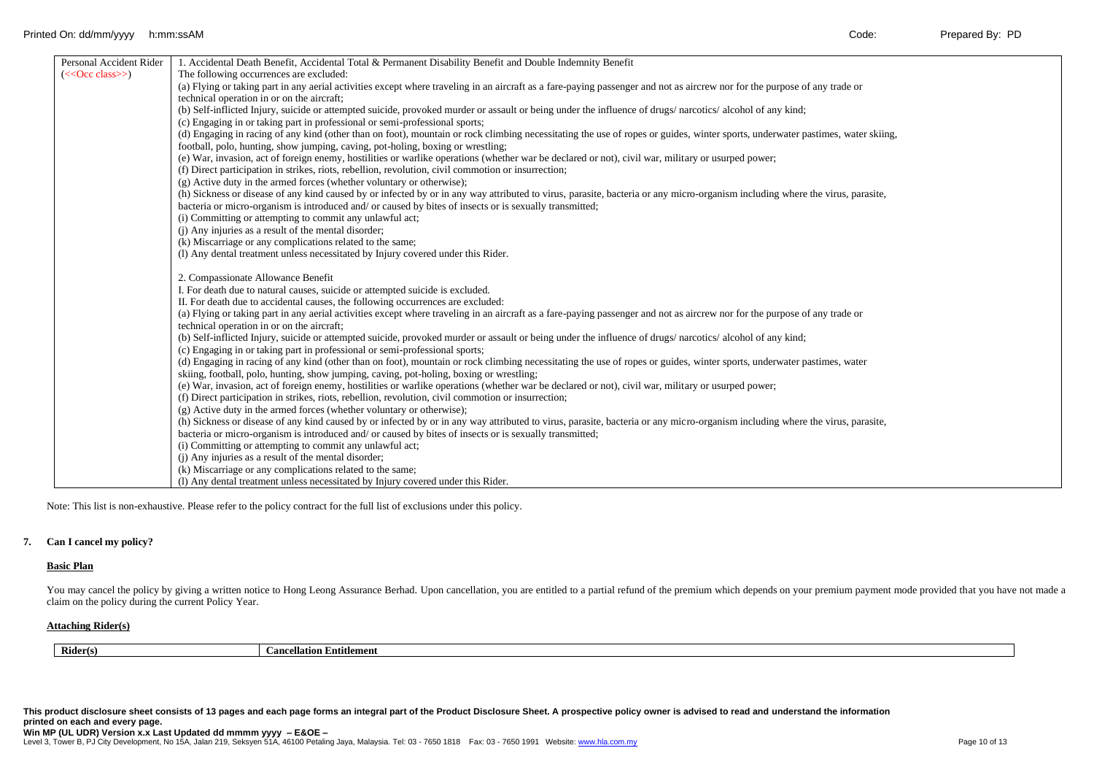| Personal Accident Rider | 1. Accidental Death Benefit, Accidental Total & Permanent Disability Benefit and Double Indemnity Benefit                                                                      |
|-------------------------|--------------------------------------------------------------------------------------------------------------------------------------------------------------------------------|
| $(<$ Occ class>>)       | The following occurrences are excluded:                                                                                                                                        |
|                         | (a) Flying or taking part in any aerial activities except where traveling in an aircraft as a fare-paying passenger and not as aircrew nor for the purpose of any trade or     |
|                         | technical operation in or on the aircraft;                                                                                                                                     |
|                         | (b) Self-inflicted Injury, suicide or attempted suicide, provoked murder or assault or being under the influence of drugs/narcotics/alcohol of any kind;                       |
|                         | (c) Engaging in or taking part in professional or semi-professional sports;                                                                                                    |
|                         | (d) Engaging in racing of any kind (other than on foot), mountain or rock climbing necessitating the use of ropes or guides, winter sports, underwater pastimes, water skiing, |
|                         | football, polo, hunting, show jumping, caving, pot-holing, boxing or wrestling;                                                                                                |
|                         | (e) War, invasion, act of foreign enemy, hostilities or warlike operations (whether war be declared or not), civil war, military or usurped power;                             |
|                         | (f) Direct participation in strikes, riots, rebellion, revolution, civil commotion or insurrection;                                                                            |
|                         | (g) Active duty in the armed forces (whether voluntary or otherwise);                                                                                                          |
|                         | (h) Sickness or disease of any kind caused by or infected by or in any way attributed to virus, parasite, bacteria or any micro-organism including where the virus, parasite,  |
|                         | bacteria or micro-organism is introduced and/or caused by bites of insects or is sexually transmitted;                                                                         |
|                         | (i) Committing or attempting to commit any unlawful act;                                                                                                                       |
|                         | (i) Any injuries as a result of the mental disorder;                                                                                                                           |
|                         | (k) Miscarriage or any complications related to the same;                                                                                                                      |
|                         | (1) Any dental treatment unless necessitated by Injury covered under this Rider.                                                                                               |
|                         |                                                                                                                                                                                |
|                         | 2. Compassionate Allowance Benefit                                                                                                                                             |
|                         | I. For death due to natural causes, suicide or attempted suicide is excluded.                                                                                                  |
|                         | II. For death due to accidental causes, the following occurrences are excluded:                                                                                                |
|                         | (a) Flying or taking part in any aerial activities except where traveling in an aircraft as a fare-paying passenger and not as aircrew nor for the purpose of any trade or     |
|                         | technical operation in or on the aircraft;                                                                                                                                     |
|                         | (b) Self-inflicted Injury, suicide or attempted suicide, provoked murder or assault or being under the influence of drugs/narcotics/alcohol of any kind;                       |
|                         | (c) Engaging in or taking part in professional or semi-professional sports;                                                                                                    |
|                         | (d) Engaging in racing of any kind (other than on foot), mountain or rock climbing necessitating the use of ropes or guides, winter sports, underwater pastimes, water         |
|                         | skiing, football, polo, hunting, show jumping, caving, pot-holing, boxing or wrestling;                                                                                        |
|                         | (e) War, invasion, act of foreign enemy, hostilities or warlike operations (whether war be declared or not), civil war, military or usurped power;                             |
|                         | (f) Direct participation in strikes, riots, rebellion, revolution, civil commotion or insurrection;                                                                            |
|                         | $(g)$ Active duty in the armed forces (whether voluntary or otherwise);                                                                                                        |
|                         | (h) Sickness or disease of any kind caused by or infected by or in any way attributed to virus, parasite, bacteria or any micro-organism including where the virus, parasite,  |
|                         | bacteria or micro-organism is introduced and/or caused by bites of insects or is sexually transmitted;                                                                         |
|                         | (i) Committing or attempting to commit any unlawful act;                                                                                                                       |
|                         | (i) Any injuries as a result of the mental disorder;                                                                                                                           |
|                         | (k) Miscarriage or any complications related to the same;                                                                                                                      |
|                         | (1) Any dental treatment unless necessitated by Injury covered under this Rider.                                                                                               |
|                         |                                                                                                                                                                                |

Note: This list is non-exhaustive. Please refer to the policy contract for the full list of exclusions under this policy.

#### **7. Can I cancel my policy?**

# **Basic Plan**

You may cancel the policy by giving a written notice to Hong Leong Assurance Berhad. Upon cancellation, you are entitled to a partial refund of the premium which depends on your premium payment mode provided that you have claim on the policy during the current Policy Year.

## **Attaching Rider(s)**

**Cancellation Entitlement** 

**This product disclosure sheet consists of 13 pages and each page forms an integral part of the Product Disclosure Sheet. A prospective policy owner is advised to read and understand the information printed on each and every page.**

Level 3, Tower B, PJ City Development, No 15A, Jalan 219, Seksyen 51A, 46100 Petaling Jaya, Malaysia. Tel: 03 - 7650 1818 Fax: 03 - 7650 1991 Website[: www.hla.com.my](http://www.hla.com.my/)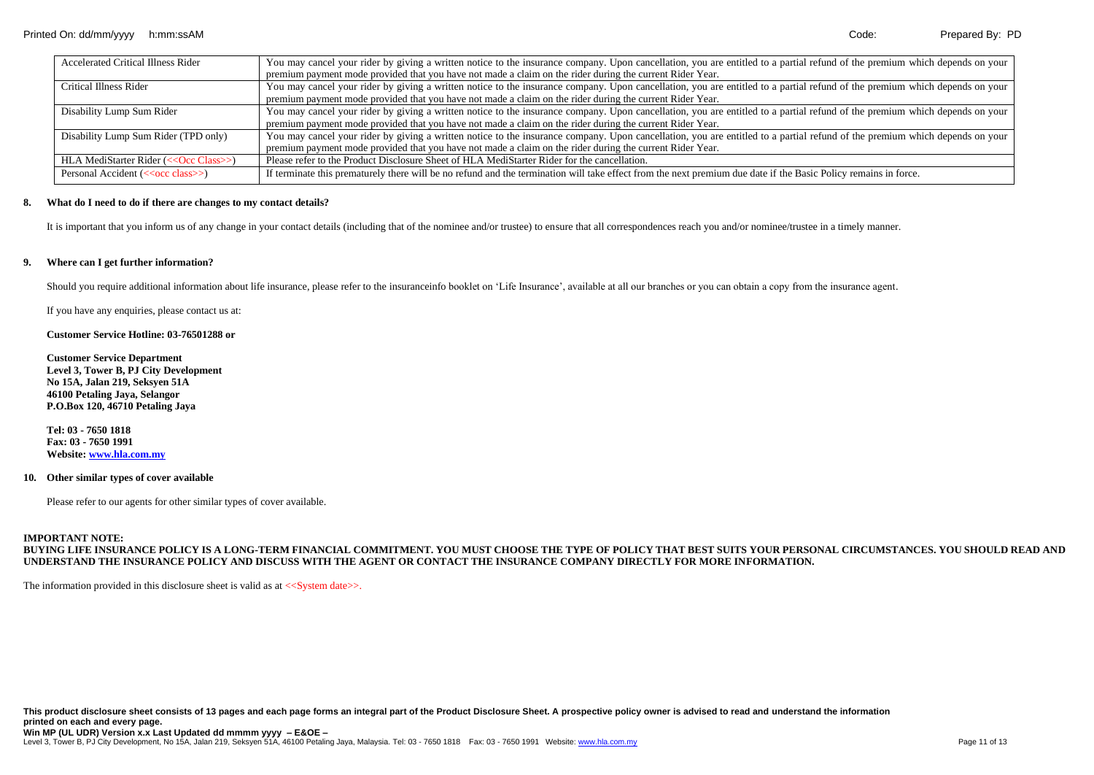| <b>Accelerated Critical Illness Rider</b>      | You may cancel your rider by giving a written notice to the insurance company. Upon cancellation, you are entitled to a partial refund of the premium which depends on your |
|------------------------------------------------|-----------------------------------------------------------------------------------------------------------------------------------------------------------------------------|
|                                                | premium payment mode provided that you have not made a claim on the rider during the current Rider Year.                                                                    |
| Critical Illness Rider                         | You may cancel your rider by giving a written notice to the insurance company. Upon cancellation, you are entitled to a partial refund of the premium which depends on your |
|                                                | premium payment mode provided that you have not made a claim on the rider during the current Rider Year.                                                                    |
| Disability Lump Sum Rider                      | You may cancel your rider by giving a written notice to the insurance company. Upon cancellation, you are entitled to a partial refund of the premium which depends on your |
|                                                | premium payment mode provided that you have not made a claim on the rider during the current Rider Year.                                                                    |
| Disability Lump Sum Rider (TPD only)           | You may cancel your rider by giving a written notice to the insurance company. Upon cancellation, you are entitled to a partial refund of the premium which depends on your |
|                                                | premium payment mode provided that you have not made a claim on the rider during the current Rider Year.                                                                    |
| HLA MediStarter Rider (<< Occ Class>>)         | Please refer to the Product Disclosure Sheet of HLA MediStarter Rider for the cancellation.                                                                                 |
| Personal Accident (< <occ class="">&gt;)</occ> | If terminate this prematurely there will be no refund and the termination will take effect from the next premium due date if the Basic Policy remains in force.             |

#### **8. What do I need to do if there are changes to my contact details?**

It is important that you inform us of any change in your contact details (including that of the nominee and/or trustee) to ensure that all correspondences reach you and/or nominee/trustee in a timely manner.

#### **9. Where can I get further information?**

Should you require additional information about life insurance, please refer to the insuranceinfo booklet on 'Life Insurance', available at all our branches or you can obtain a copy from the insurance agent.

If you have any enquiries, please contact us at:

#### **Customer Service Hotline: 03-76501288 or**

**Customer Service Department Level 3, Tower B, PJ City Development No 15A, Jalan 219, Seksyen 51A 46100 Petaling Jaya, Selangor P.O.Box 120, 46710 Petaling Jaya**

**Tel: 03 - 7650 1818 Fax: 03 - 7650 1991 Website[: www.hla.com.my](http://www.hla.com.my/)**

#### **10. Other similar types of cover available**

Please refer to our agents for other similar types of cover available.

#### **IMPORTANT NOTE:**

**BUYING LIFE INSURANCE POLICY IS A LONG-TERM FINANCIAL COMMITMENT. YOU MUST CHOOSE THE TYPE OF POLICY THAT BEST SUITS YOUR PERSONAL CIRCUMSTANCES. YOU SHOULD READ AND UNDERSTAND THE INSURANCE POLICY AND DISCUSS WITH THE AGENT OR CONTACT THE INSURANCE COMPANY DIRECTLY FOR MORE INFORMATION.**

The information provided in this disclosure sheet is valid as at  $\langle$ System date $\rangle$ .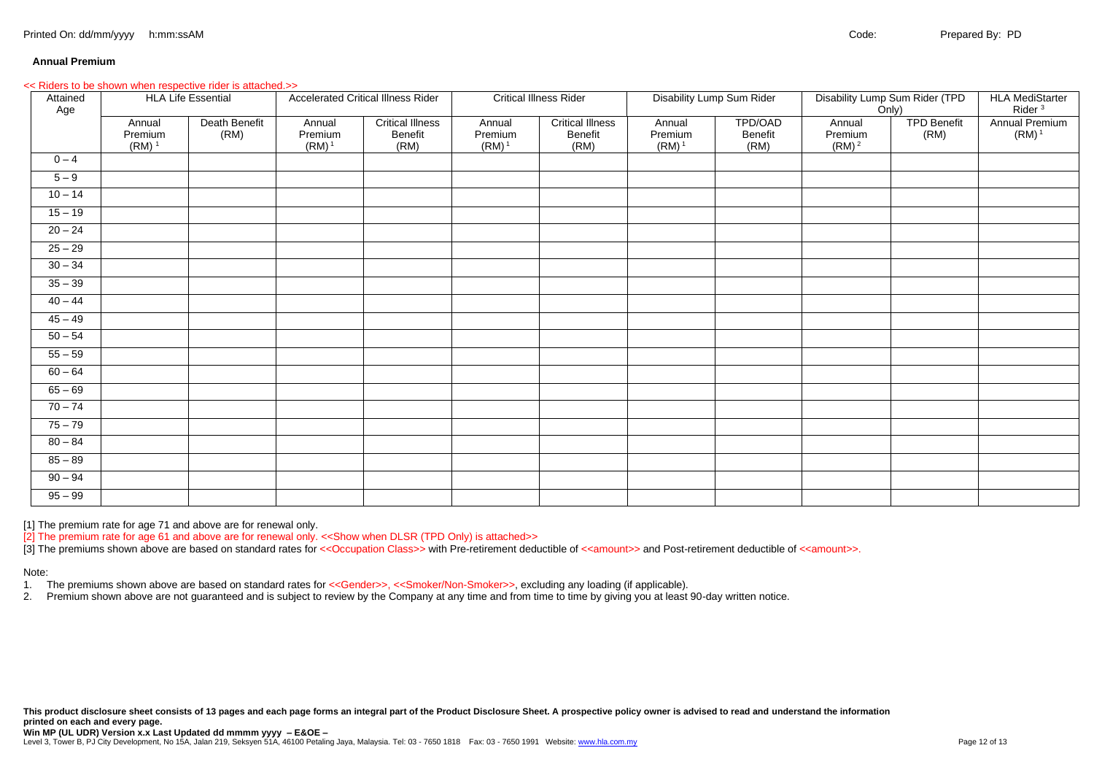#### **Annual Premium**

#### *<<* Riders to be shown when respective rider is attached.>>

| Attained<br>Age | <b>HLA Life Essential</b>                |                       | <b>Accelerated Critical Illness Rider</b> |                                            | <b>Critical Illness Rider</b> |                                            | Disability Lump Sum Rider     |                            | Disability Lump Sum Rider (TPD<br>Only) |                            | <b>HLA MediStarter</b><br>Rider <sup>3</sup> |
|-----------------|------------------------------------------|-----------------------|-------------------------------------------|--------------------------------------------|-------------------------------|--------------------------------------------|-------------------------------|----------------------------|-----------------------------------------|----------------------------|----------------------------------------------|
|                 | Annual<br>Premium<br>$(RM)$ <sup>1</sup> | Death Benefit<br>(RM) | Annual<br>Premium<br>$(RM)^1$             | <b>Critical Illness</b><br>Benefit<br>(RM) | Annual<br>Premium<br>$(RM)^1$ | <b>Critical Illness</b><br>Benefit<br>(RM) | Annual<br>Premium<br>$(RM)^1$ | TPD/OAD<br>Benefit<br>(RM) | Annual<br>Premium<br>(RM) <sup>2</sup>  | <b>TPD Benefit</b><br>(RM) | Annual Premium<br>$(RM)^1$                   |
| $0 - 4$         |                                          |                       |                                           |                                            |                               |                                            |                               |                            |                                         |                            |                                              |
| $5 - 9$         |                                          |                       |                                           |                                            |                               |                                            |                               |                            |                                         |                            |                                              |
| $10 - 14$       |                                          |                       |                                           |                                            |                               |                                            |                               |                            |                                         |                            |                                              |
| $15 - 19$       |                                          |                       |                                           |                                            |                               |                                            |                               |                            |                                         |                            |                                              |
| $20 - 24$       |                                          |                       |                                           |                                            |                               |                                            |                               |                            |                                         |                            |                                              |
| $25 - 29$       |                                          |                       |                                           |                                            |                               |                                            |                               |                            |                                         |                            |                                              |
| $30 - 34$       |                                          |                       |                                           |                                            |                               |                                            |                               |                            |                                         |                            |                                              |
| $35 - 39$       |                                          |                       |                                           |                                            |                               |                                            |                               |                            |                                         |                            |                                              |
| $40 - 44$       |                                          |                       |                                           |                                            |                               |                                            |                               |                            |                                         |                            |                                              |
| $45 - 49$       |                                          |                       |                                           |                                            |                               |                                            |                               |                            |                                         |                            |                                              |
| $50 - 54$       |                                          |                       |                                           |                                            |                               |                                            |                               |                            |                                         |                            |                                              |
| $55 - 59$       |                                          |                       |                                           |                                            |                               |                                            |                               |                            |                                         |                            |                                              |
| $60 - 64$       |                                          |                       |                                           |                                            |                               |                                            |                               |                            |                                         |                            |                                              |
| $65 - 69$       |                                          |                       |                                           |                                            |                               |                                            |                               |                            |                                         |                            |                                              |
| $70 - 74$       |                                          |                       |                                           |                                            |                               |                                            |                               |                            |                                         |                            |                                              |
| $75 - 79$       |                                          |                       |                                           |                                            |                               |                                            |                               |                            |                                         |                            |                                              |
| $80 - 84$       |                                          |                       |                                           |                                            |                               |                                            |                               |                            |                                         |                            |                                              |
| $85 - 89$       |                                          |                       |                                           |                                            |                               |                                            |                               |                            |                                         |                            |                                              |
| $90 - 94$       |                                          |                       |                                           |                                            |                               |                                            |                               |                            |                                         |                            |                                              |
| $95 - 99$       |                                          |                       |                                           |                                            |                               |                                            |                               |                            |                                         |                            |                                              |

[1] The premium rate for age 71 and above are for renewal only.

[2] The premium rate for age 61 and above are for renewal only. <<Show when DLSR (TPD Only) is attached>>

[3] The premiums shown above are based on standard rates for <<Occupation Class>> with Pre-retirement deductible of <<amount>> and Post-retirement deductible of <<amount>>.

Note:

1. The premiums shown above are based on standard rates for <<Gender>>, <<Smoker/Non-Smoker>>, excluding any loading (if applicable).<br>2. Premium shown above are not quaranteed and is subject to review by the Company at any

2. Premium shown above are not guaranteed and is subject to review by the Company at any time and from time to time by giving you at least 90-day written notice.